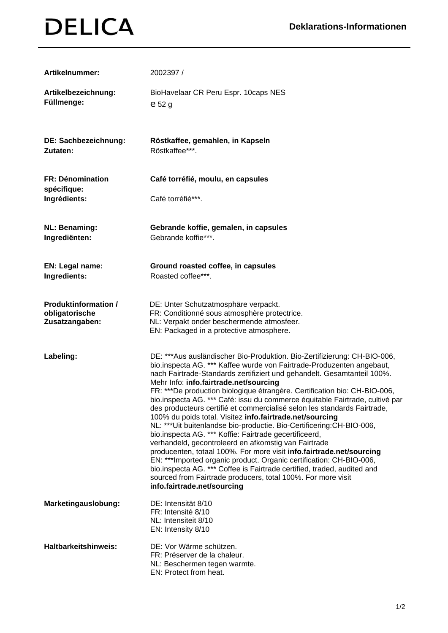## **DELICA**

| Artikelnummer:                                                  | 2002397 /                                                                                                                                                                                                                                                                                                                                                                                                                                                                                                                                                                                                                                                                                                                                                                                                                                                                                                                                                                                                                                                                                        |
|-----------------------------------------------------------------|--------------------------------------------------------------------------------------------------------------------------------------------------------------------------------------------------------------------------------------------------------------------------------------------------------------------------------------------------------------------------------------------------------------------------------------------------------------------------------------------------------------------------------------------------------------------------------------------------------------------------------------------------------------------------------------------------------------------------------------------------------------------------------------------------------------------------------------------------------------------------------------------------------------------------------------------------------------------------------------------------------------------------------------------------------------------------------------------------|
| Artikelbezeichnung:<br>Füllmenge:                               | BioHavelaar CR Peru Espr. 10caps NES<br>$e$ 52 $g$                                                                                                                                                                                                                                                                                                                                                                                                                                                                                                                                                                                                                                                                                                                                                                                                                                                                                                                                                                                                                                               |
| DE: Sachbezeichnung:<br>Zutaten:                                | Röstkaffee, gemahlen, in Kapseln<br>Röstkaffee***.                                                                                                                                                                                                                                                                                                                                                                                                                                                                                                                                                                                                                                                                                                                                                                                                                                                                                                                                                                                                                                               |
| FR: Dénomination<br>spécifique:                                 | Café torréfié, moulu, en capsules                                                                                                                                                                                                                                                                                                                                                                                                                                                                                                                                                                                                                                                                                                                                                                                                                                                                                                                                                                                                                                                                |
| Ingrédients:                                                    | Café torréfié***.                                                                                                                                                                                                                                                                                                                                                                                                                                                                                                                                                                                                                                                                                                                                                                                                                                                                                                                                                                                                                                                                                |
| <b>NL: Benaming:</b><br>Ingrediënten:                           | Gebrande koffie, gemalen, in capsules<br>Gebrande koffie***.                                                                                                                                                                                                                                                                                                                                                                                                                                                                                                                                                                                                                                                                                                                                                                                                                                                                                                                                                                                                                                     |
| EN: Legal name:<br>Ingredients:                                 | Ground roasted coffee, in capsules<br>Roasted coffee***.                                                                                                                                                                                                                                                                                                                                                                                                                                                                                                                                                                                                                                                                                                                                                                                                                                                                                                                                                                                                                                         |
| <b>Produktinformation /</b><br>obligatorische<br>Zusatzangaben: | DE: Unter Schutzatmosphäre verpackt.<br>FR: Conditionné sous atmosphère protectrice.<br>NL: Verpakt onder beschermende atmosfeer.<br>EN: Packaged in a protective atmosphere.                                                                                                                                                                                                                                                                                                                                                                                                                                                                                                                                                                                                                                                                                                                                                                                                                                                                                                                    |
| Labeling:                                                       | DE: ***Aus ausländischer Bio-Produktion. Bio-Zertifizierung: CH-BIO-006,<br>bio.inspecta AG. *** Kaffee wurde von Fairtrade-Produzenten angebaut,<br>nach Fairtrade-Standards zertifiziert und gehandelt. Gesamtanteil 100%.<br>Mehr Info: info.fairtrade.net/sourcing<br>FR: ***De production biologique étrangère. Certification bio: CH-BIO-006,<br>bio.inspecta AG. *** Café: issu du commerce équitable Fairtrade, cultivé par<br>des producteurs certifié et commercialisé selon les standards Fairtrade,<br>100% du poids total. Visitez info.fairtrade.net/sourcing<br>NL: *** Uit buitenlandse bio-productie. Bio-Certificering: CH-BIO-006,<br>bio.inspecta AG. *** Koffie: Fairtrade gecertificeerd,<br>verhandeld, gecontroleerd en afkomstig van Fairtrade<br>producenten, totaal 100%. For more visit info.fairtrade.net/sourcing<br>EN: ***Imported organic product. Organic certification: CH-BIO-006,<br>bio.inspecta AG. *** Coffee is Fairtrade certified, traded, audited and<br>sourced from Fairtrade producers, total 100%. For more visit<br>info.fairtrade.net/sourcing |
| Marketingauslobung:                                             | DE: Intensität 8/10<br>FR: Intensité 8/10<br>NL: Intensiteit 8/10<br>EN: Intensity 8/10                                                                                                                                                                                                                                                                                                                                                                                                                                                                                                                                                                                                                                                                                                                                                                                                                                                                                                                                                                                                          |
| <b>Haltbarkeitshinweis:</b>                                     | DE: Vor Wärme schützen.<br>FR: Préserver de la chaleur.<br>NL: Beschermen tegen warmte.<br>EN: Protect from heat.                                                                                                                                                                                                                                                                                                                                                                                                                                                                                                                                                                                                                                                                                                                                                                                                                                                                                                                                                                                |